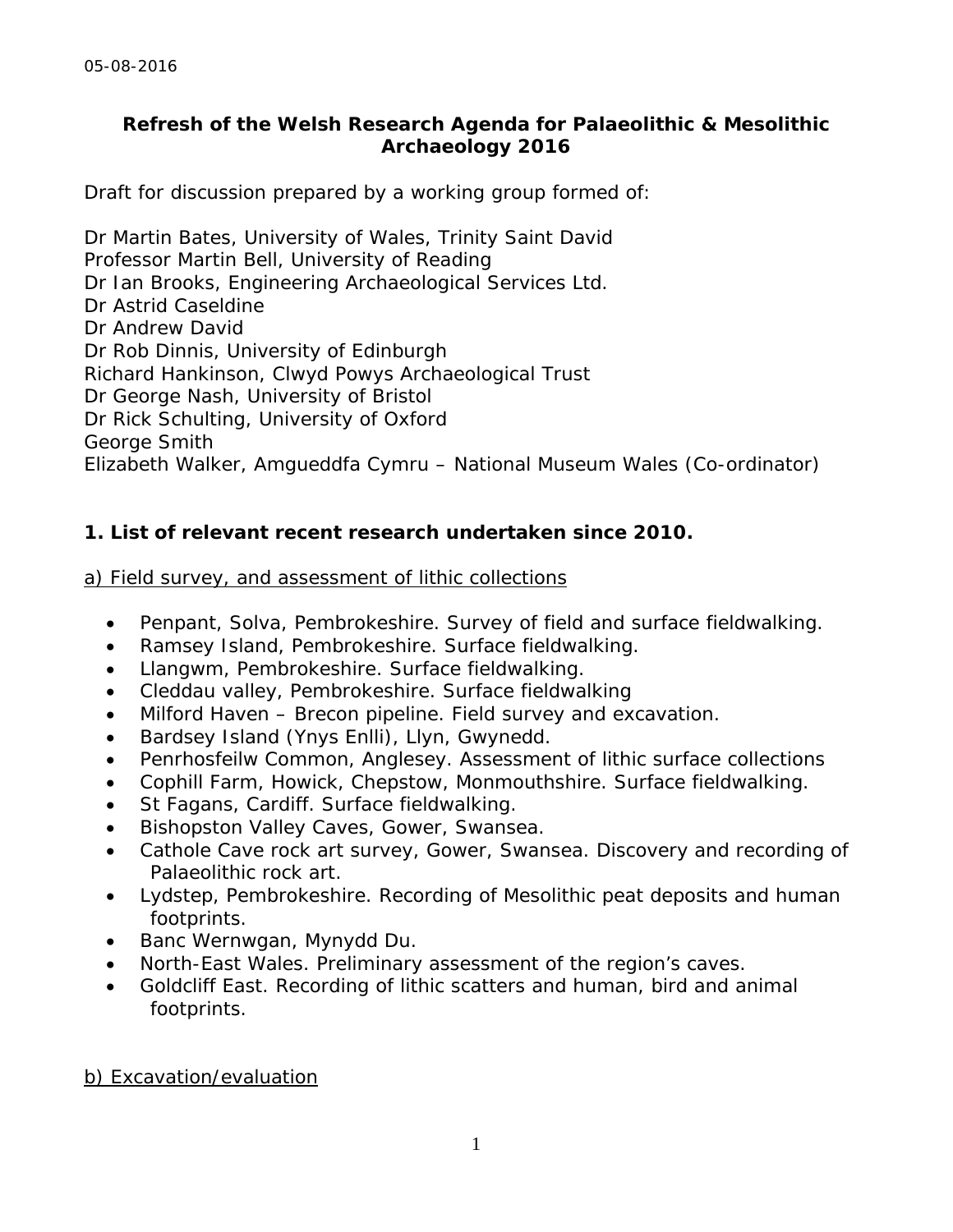## **Refresh of the Welsh Research Agenda for Palaeolithic & Mesolithic Archaeology 2016**

Draft for discussion prepared by a working group formed of:

Dr Martin Bates, University of Wales, Trinity Saint David Professor Martin Bell, University of Reading Dr Ian Brooks, Engineering Archaeological Services Ltd. Dr Astrid Caseldine Dr Andrew David Dr Rob Dinnis, University of Edinburgh Richard Hankinson, Clwyd Powys Archaeological Trust Dr George Nash, University of Bristol Dr Rick Schulting, University of Oxford George Smith Elizabeth Walker, Amgueddfa Cymru – National Museum Wales (Co-ordinator)

# **1. List of relevant recent research undertaken since 2010.**

### *a) Field survey, and assessment of lithic collections*

- Penpant, Solva, Pembrokeshire. Survey of field and surface fieldwalking.
- Ramsey Island, Pembrokeshire. Surface fieldwalking.
- Llangwm, Pembrokeshire. Surface fieldwalking.
- Cleddau valley, Pembrokeshire. Surface fieldwalking
- Milford Haven Brecon pipeline. Field survey and excavation.
- Bardsey Island (Ynys Enlli), Llyn, Gwynedd.
- Penrhosfeilw Common, Anglesey. Assessment of lithic surface collections
- Cophill Farm, Howick, Chepstow, Monmouthshire. Surface fieldwalking.
- St Fagans, Cardiff. Surface fieldwalking.
- Bishopston Valley Caves, Gower, Swansea.
- Cathole Cave rock art survey, Gower, Swansea. Discovery and recording of Palaeolithic rock art.
- Lydstep, Pembrokeshire. Recording of Mesolithic peat deposits and human footprints.
- Banc Wernwgan, Mynydd Du.
- North-East Wales. Preliminary assessment of the region's caves.
- Goldcliff East. Recording of lithic scatters and human, bird and animal footprints.

### *b) Excavation/evaluation*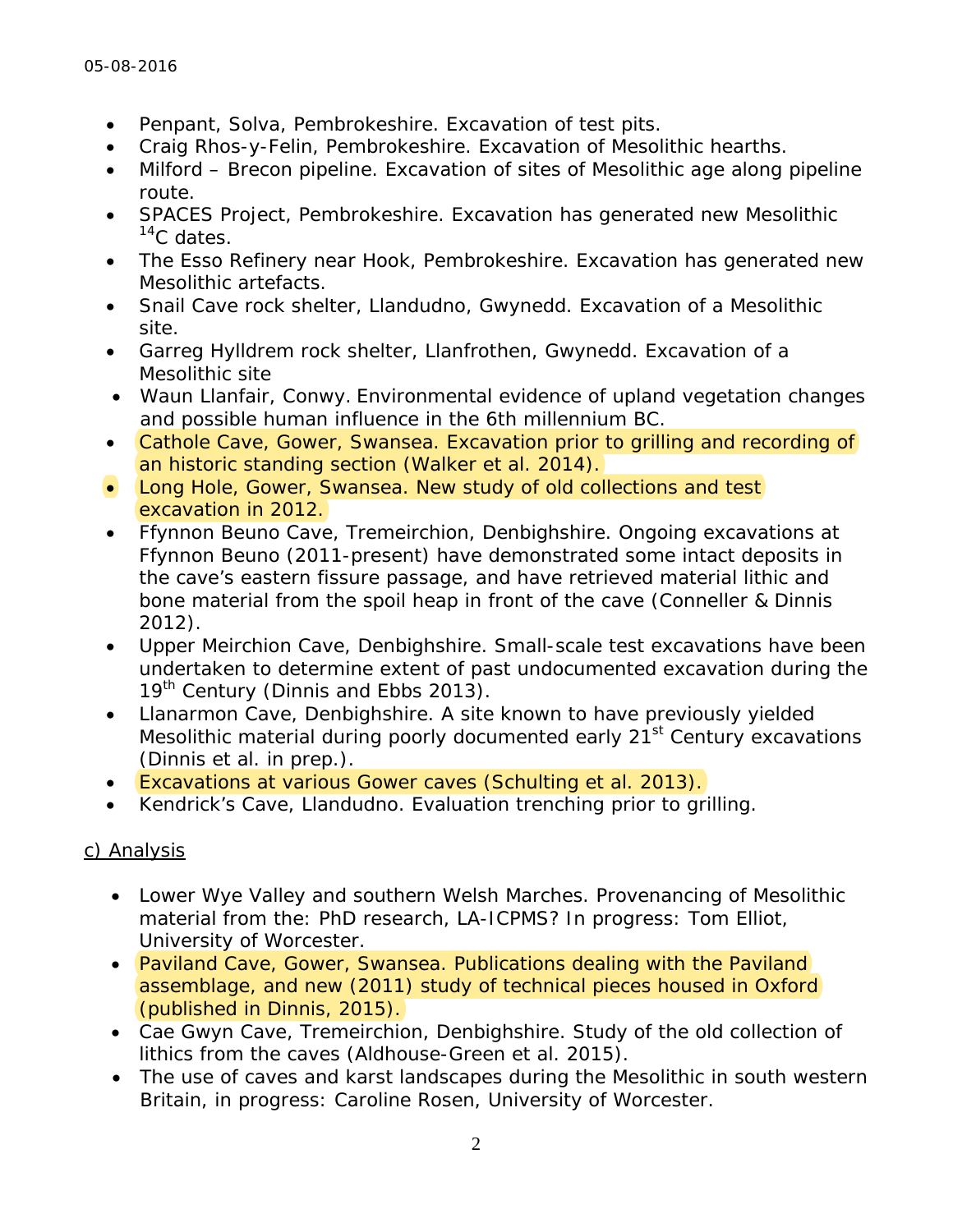- Penpant, Solva, Pembrokeshire. Excavation of test pits.
- Craig Rhos-y-Felin, Pembrokeshire. Excavation of Mesolithic hearths.
- Milford Brecon pipeline. Excavation of sites of Mesolithic age along pipeline route.
- SPACES Project, Pembrokeshire. Excavation has generated new Mesolithic  $14C$  dates.
- The Esso Refinery near Hook, Pembrokeshire. Excavation has generated new Mesolithic artefacts.
- Snail Cave rock shelter, Llandudno, Gwynedd. Excavation of a Mesolithic site.
- Garreg Hylldrem rock shelter, Llanfrothen, Gwynedd. Excavation of a Mesolithic site
- Waun Llanfair, Conwy. Environmental evidence of upland vegetation changes and possible human influence in the 6th millennium BC.
- Cathole Cave, Gower, Swansea. Excavation prior to grilling and recording of an historic standing section (Walker *et al*. 2014).
- Long Hole, Gower, Swansea. New study of old collections and test excavation in 2012.
- Ffynnon Beuno Cave, Tremeirchion, Denbighshire. Ongoing excavations at Ffynnon Beuno (2011-present) have demonstrated some intact deposits in the cave's eastern fissure passage, and have retrieved material lithic and bone material from the spoil heap in front of the cave (Conneller & Dinnis 2012).
- Upper Meirchion Cave, Denbighshire. Small-scale test excavations have been undertaken to determine extent of past undocumented excavation during the 19<sup>th</sup> Century (Dinnis and Ebbs 2013).
- Llanarmon Cave, Denbighshire. A site known to have previously yielded Mesolithic material during poorly documented early 21<sup>st</sup> Century excavations (Dinnis *et al*. in prep.).
- Excavations at various Gower caves (Schulting *et al*. 2013).
- Kendrick's Cave, Llandudno. Evaluation trenching prior to grilling.

# *c) Analysis*

- Lower Wye Valley and southern Welsh Marches. Provenancing of Mesolithic material from the: PhD research, LA-ICPMS? In progress: Tom Elliot, University of Worcester.
- Paviland Cave, Gower, Swansea. Publications dealing with the Paviland assemblage, and new (2011) study of technical pieces housed in Oxford (published in Dinnis, 2015).
- Cae Gwyn Cave, Tremeirchion, Denbighshire. Study of the old collection of lithics from the caves (Aldhouse-Green *et al*. 2015).
- The use of caves and karst landscapes during the Mesolithic in south western Britain, in progress: Caroline Rosen, University of Worcester.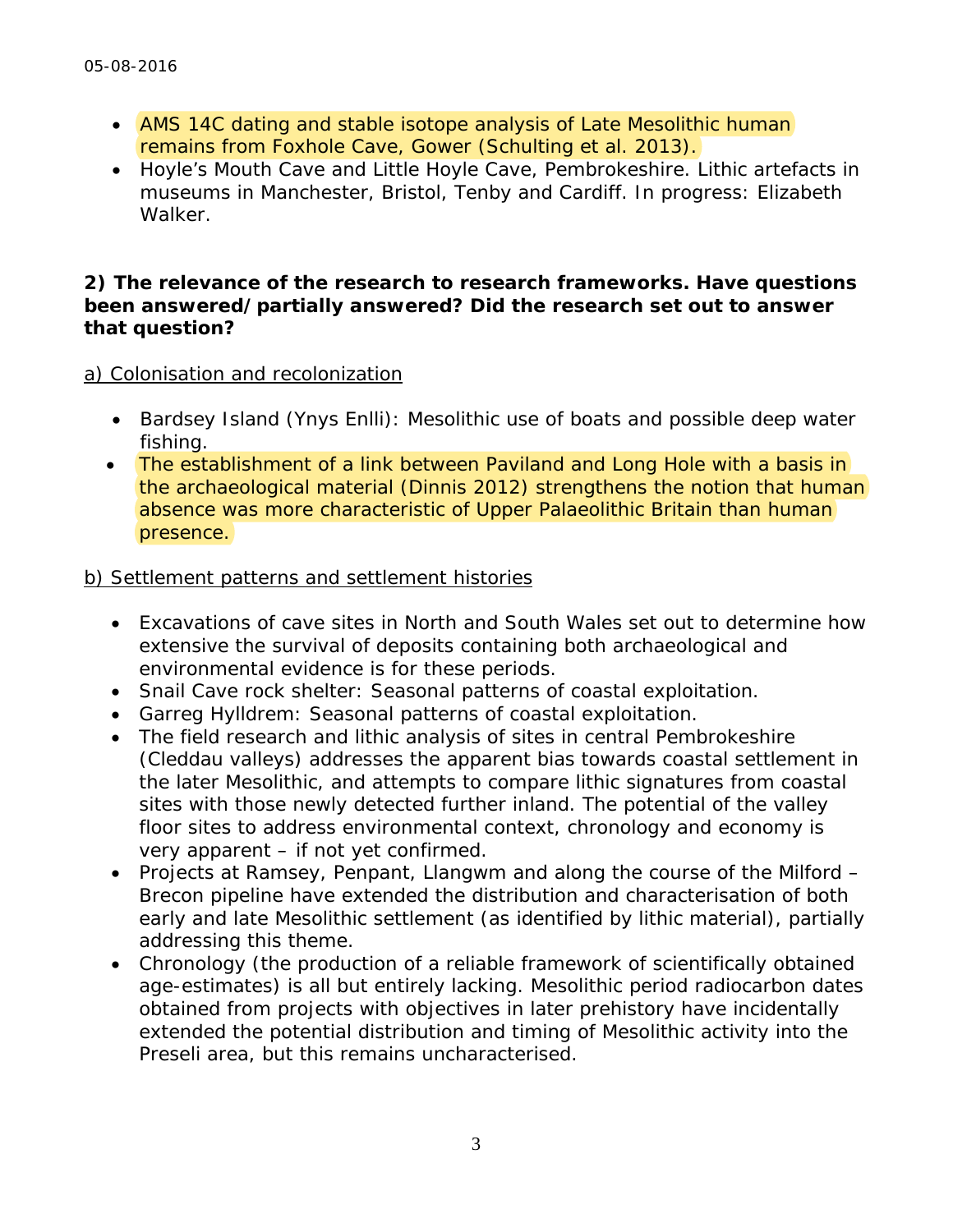- AMS 14C dating and stable isotope analysis of Late Mesolithic human remains from Foxhole Cave, Gower (Schulting *et al*. 2013).
- Hoyle's Mouth Cave and Little Hoyle Cave, Pembrokeshire. Lithic artefacts in museums in Manchester, Bristol, Tenby and Cardiff. In progress: Elizabeth Walker.

#### **2) The relevance of the research to research frameworks. Have questions been answered/partially answered? Did the research set out to answer that question?**

### *a) Colonisation and recolonization*

- Bardsey Island (Ynys Enlli): Mesolithic use of boats and possible deep water fishing.
- The establishment of a link between Paviland and Long Hole with a basis in the archaeological material (Dinnis 2012) strengthens the notion that human absence was more characteristic of Upper Palaeolithic Britain than human presence.

### *b) Settlement patterns and settlement histories*

- Excavations of cave sites in North and South Wales set out to determine how extensive the survival of deposits containing both archaeological and environmental evidence is for these periods.
- Snail Cave rock shelter: Seasonal patterns of coastal exploitation.
- Garreg Hylldrem: Seasonal patterns of coastal exploitation.
- The field research and lithic analysis of sites in central Pembrokeshire (Cleddau valleys) addresses the apparent bias towards coastal settlement in the later Mesolithic, and attempts to compare lithic signatures from coastal sites with those newly detected further inland. The potential of the valley floor sites to address environmental context, chronology and economy is very apparent – if not yet confirmed.
- Projects at Ramsey, Penpant, Llangwm and along the course of the Milford Brecon pipeline have extended the distribution and characterisation of both early and late Mesolithic settlement (as identified by lithic material), partially addressing this theme.
- Chronology (the production of a reliable framework of scientifically obtained age-estimates) is all but entirely lacking. Mesolithic period radiocarbon dates obtained from projects with objectives in later prehistory have incidentally extended the potential distribution and timing of Mesolithic activity into the Preseli area, but this remains uncharacterised.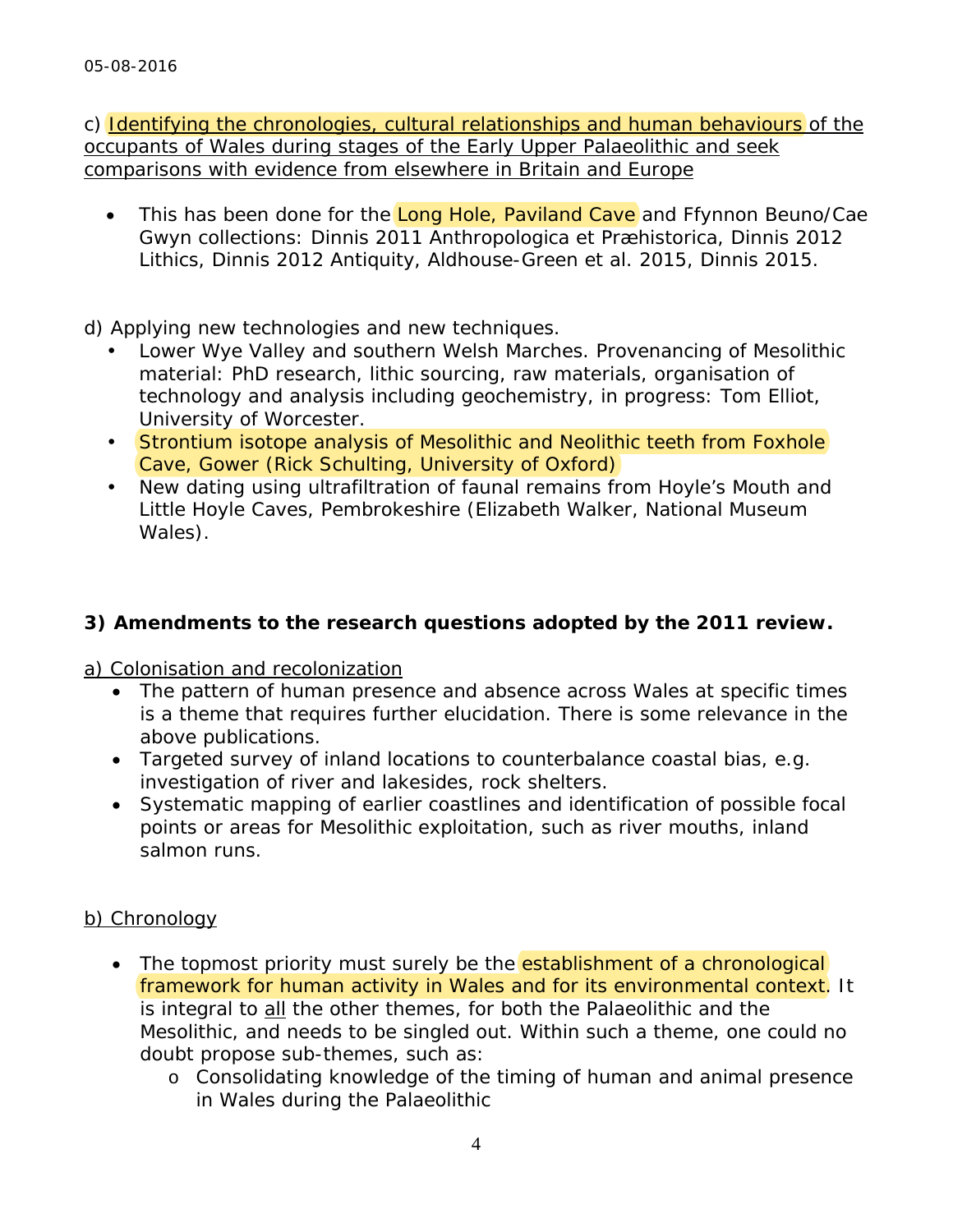### c) *Identifying the chronologies, cultural relationships and human behaviours of the occupants of Wales during stages of the Early Upper Palaeolithic and seek comparisons with evidence from elsewhere in Britain and Europe*

• This has been done for the Long Hole, Paviland Cave and Ffynnon Beuno/Cae Gwyn collections: Dinnis 2011 *Anthropologica et Præhistorica*, Dinnis 2012 *Lithics*, Dinnis 2012 *Antiquity*, Aldhouse-Green *et al*. 2015, Dinnis 2015.

### *d) Applying new technologies and new techniques*.

- Lower Wye Valley and southern Welsh Marches. Provenancing of Mesolithic material: PhD research, lithic sourcing, raw materials, organisation of technology and analysis including geochemistry, in progress: Tom Elliot, University of Worcester.
- Strontium isotope analysis of Mesolithic and Neolithic teeth from Foxhole Cave, Gower (Rick Schulting, University of Oxford)
- New dating using ultrafiltration of faunal remains from Hoyle's Mouth and Little Hoyle Caves, Pembrokeshire (Elizabeth Walker, National Museum Wales).

# **3) Amendments to the research questions adopted by the 2011 review.**

### *a) Colonisation and recolonization*

- The pattern of human presence and absence across Wales at specific times is a theme that requires further elucidation. There is some relevance in the above publications.
- Targeted survey of inland locations to counterbalance coastal bias, e.g. investigation of river and lakesides, rock shelters.
- Systematic mapping of earlier coastlines and identification of possible focal points or areas for Mesolithic exploitation, such as river mouths, inland salmon runs.

# *b) Chronology*

- The topmost priority must surely be the establishment of a chronological framework for human activity in Wales and for its environmental context. It is integral to all the other themes, for both the Palaeolithic and the Mesolithic, and needs to be singled out. Within such a theme, one could no doubt propose sub-themes, such as:
	- o Consolidating knowledge of the timing of human and animal presence in Wales during the Palaeolithic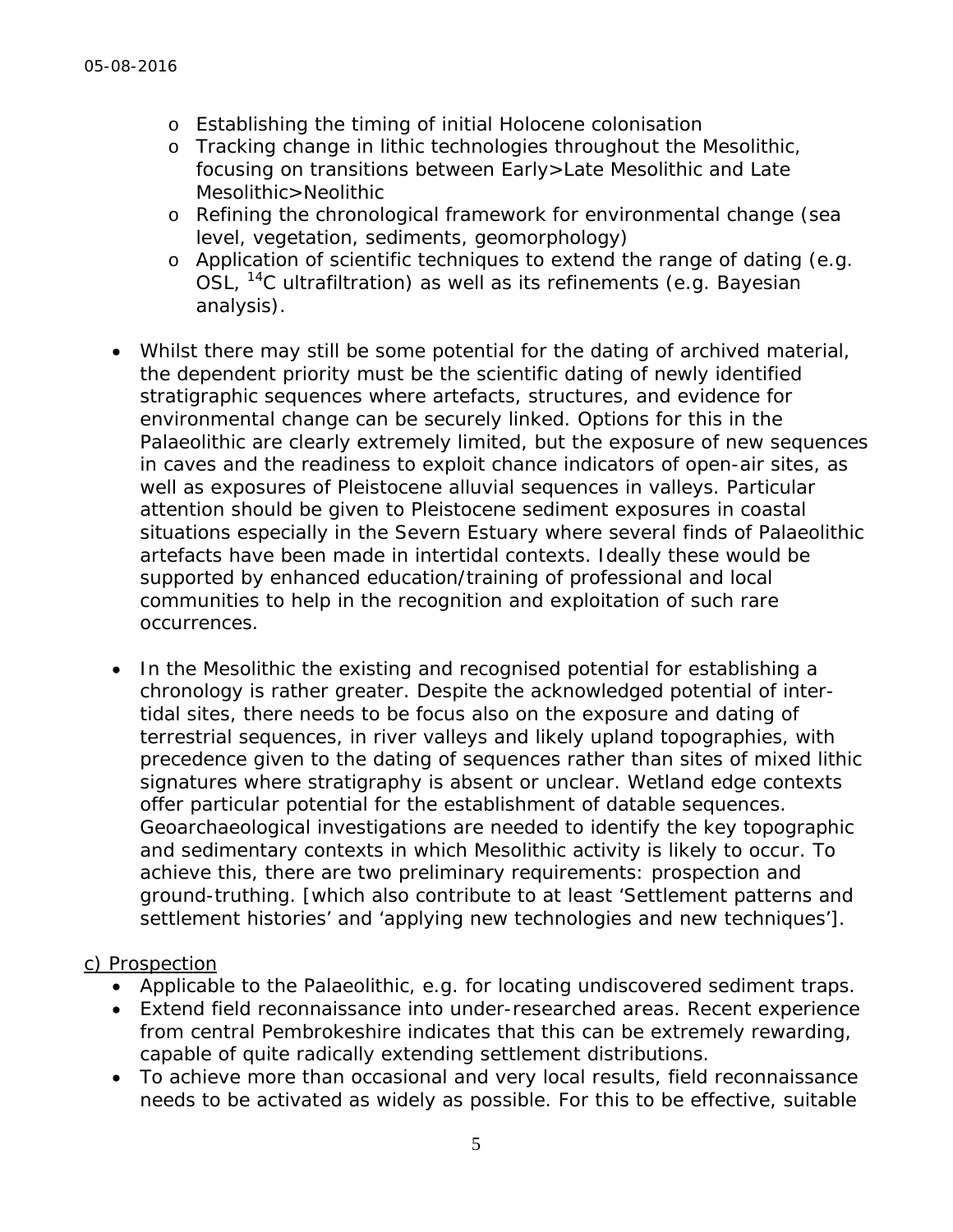- o Establishing the timing of initial Holocene colonisation
- o Tracking change in lithic technologies throughout the Mesolithic, focusing on transitions between Early>Late Mesolithic and Late Mesolithic>Neolithic
- o Refining the chronological framework for environmental change (sea level, vegetation, sediments, geomorphology)
- o Application of scientific techniques to extend the range of dating (e.g. OSL, 14C ultrafiltration) as well as its refinements (e.g. Bayesian analysis).
- Whilst there may still be some potential for the dating of archived material, the dependent priority must be the scientific dating of newly identified stratigraphic sequences where artefacts, structures, and evidence for environmental change can be securely linked. Options for this in the Palaeolithic are clearly extremely limited, but the exposure of new sequences in caves and the readiness to exploit chance indicators of open-air sites, as well as exposures of Pleistocene alluvial sequences in valleys. Particular attention should be given to Pleistocene sediment exposures in coastal situations especially in the Severn Estuary where several finds of Palaeolithic artefacts have been made in intertidal contexts. Ideally these would be supported by enhanced education/training of professional and local communities to help in the recognition and exploitation of such rare occurrences.
- In the Mesolithic the existing and recognised potential for establishing a chronology is rather greater. Despite the acknowledged potential of intertidal sites, there needs to be focus also on the exposure and dating of terrestrial sequences, in river valleys and likely upland topographies, with precedence given to the dating of sequences rather than sites of mixed lithic signatures where stratigraphy is absent or unclear. Wetland edge contexts offer particular potential for the establishment of datable sequences. Geoarchaeological investigations are needed to identify the key topographic and sedimentary contexts in which Mesolithic activity is likely to occur. To achieve this, there are two preliminary requirements: *prospection* and *ground-truthing*. [which also contribute to at least *'Settlement patterns and settlement histories' and 'applying new technologies and new techniques'*]*.*

#### c) Prospection

- Applicable to the Palaeolithic, e.g. for locating undiscovered sediment traps.
- Extend field reconnaissance into under-researched areas. Recent experience from central Pembrokeshire indicates that this can be extremely rewarding, capable of quite radically extending settlement distributions.
- To achieve more than occasional and very local results, field reconnaissance needs to be activated as widely as possible. For this to be effective, suitable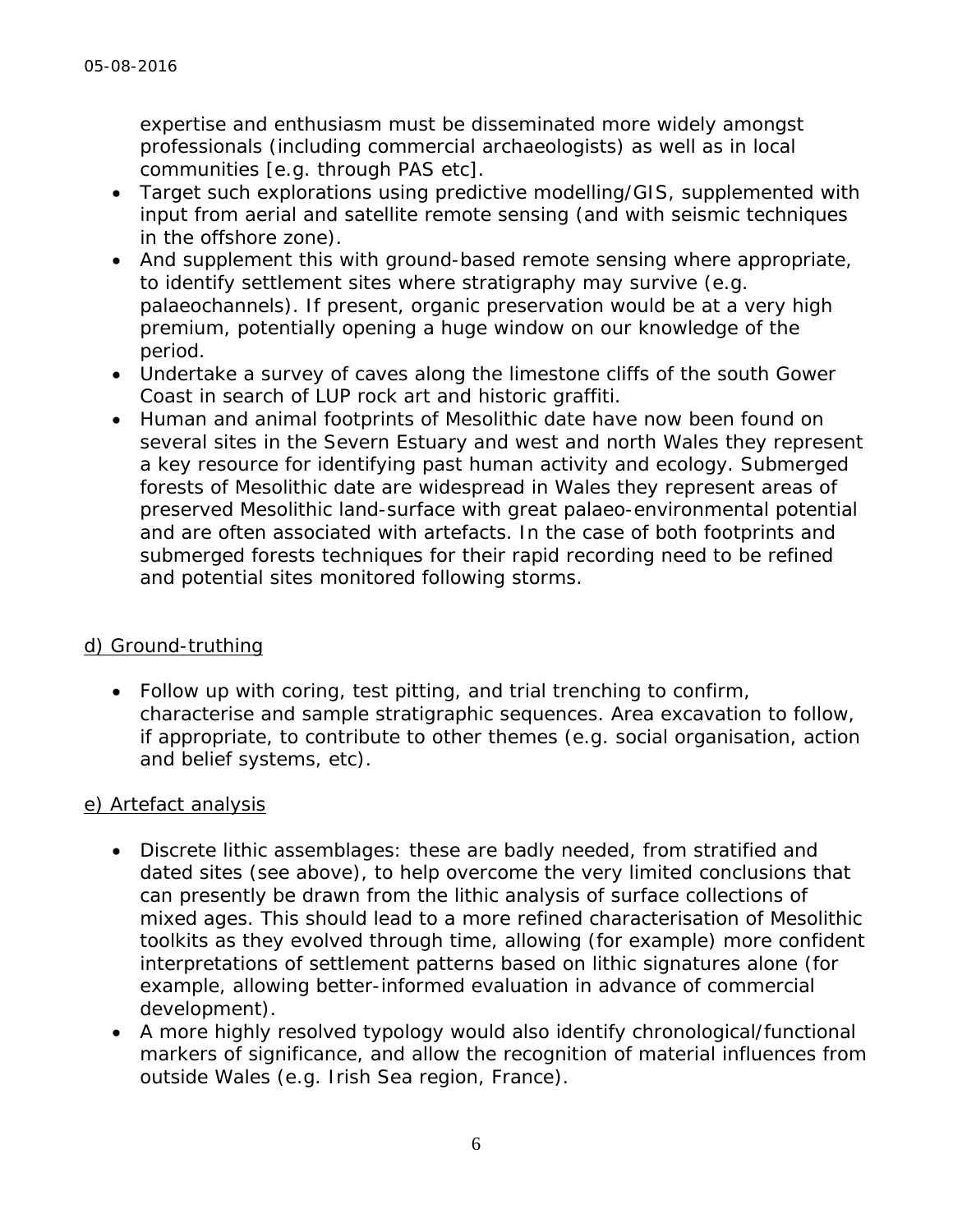expertise and enthusiasm must be disseminated more widely amongst professionals (including commercial archaeologists) as well as in local communities [e.g. through PAS etc].

- Target such explorations using predictive modelling/GIS, supplemented with input from aerial and satellite remote sensing (and with seismic techniques in the offshore zone).
- And supplement this with ground-based remote sensing where appropriate, to identify settlement sites where stratigraphy may survive (e.g. palaeochannels). If present, organic preservation would be at a very high premium, potentially opening a huge window on our knowledge of the period.
- Undertake a survey of caves along the limestone cliffs of the south Gower Coast in search of LUP rock art and historic graffiti.
- Human and animal footprints of Mesolithic date have now been found on several sites in the Severn Estuary and west and north Wales they represent a key resource for identifying past human activity and ecology. Submerged forests of Mesolithic date are widespread in Wales they represent areas of preserved Mesolithic land-surface with great palaeo-environmental potential and are often associated with artefacts. In the case of both footprints and submerged forests techniques for their rapid recording need to be refined and potential sites monitored following storms.

### d) Ground-truthing

• Follow up with coring, test pitting, and trial trenching to confirm, characterise and sample stratigraphic sequences. Area excavation to follow, if appropriate, to contribute to other themes (e.g. *social organisation, action and belief systems*, etc).

### e) Artefact analysis

- *Discrete lithic assemblages*: these are badly needed, from stratified and dated sites (see above), to help overcome the very limited conclusions that can presently be drawn from the lithic analysis of surface collections of mixed ages. This should lead to a more refined characterisation of Mesolithic toolkits as they evolved through time, allowing (for example) more confident interpretations of settlement patterns based on lithic signatures alone (for example, allowing better-informed evaluation in advance of commercial development).
- A more highly resolved typology would also identify chronological/functional markers of significance, and allow the recognition of material influences from outside Wales (e.g. Irish Sea region, France).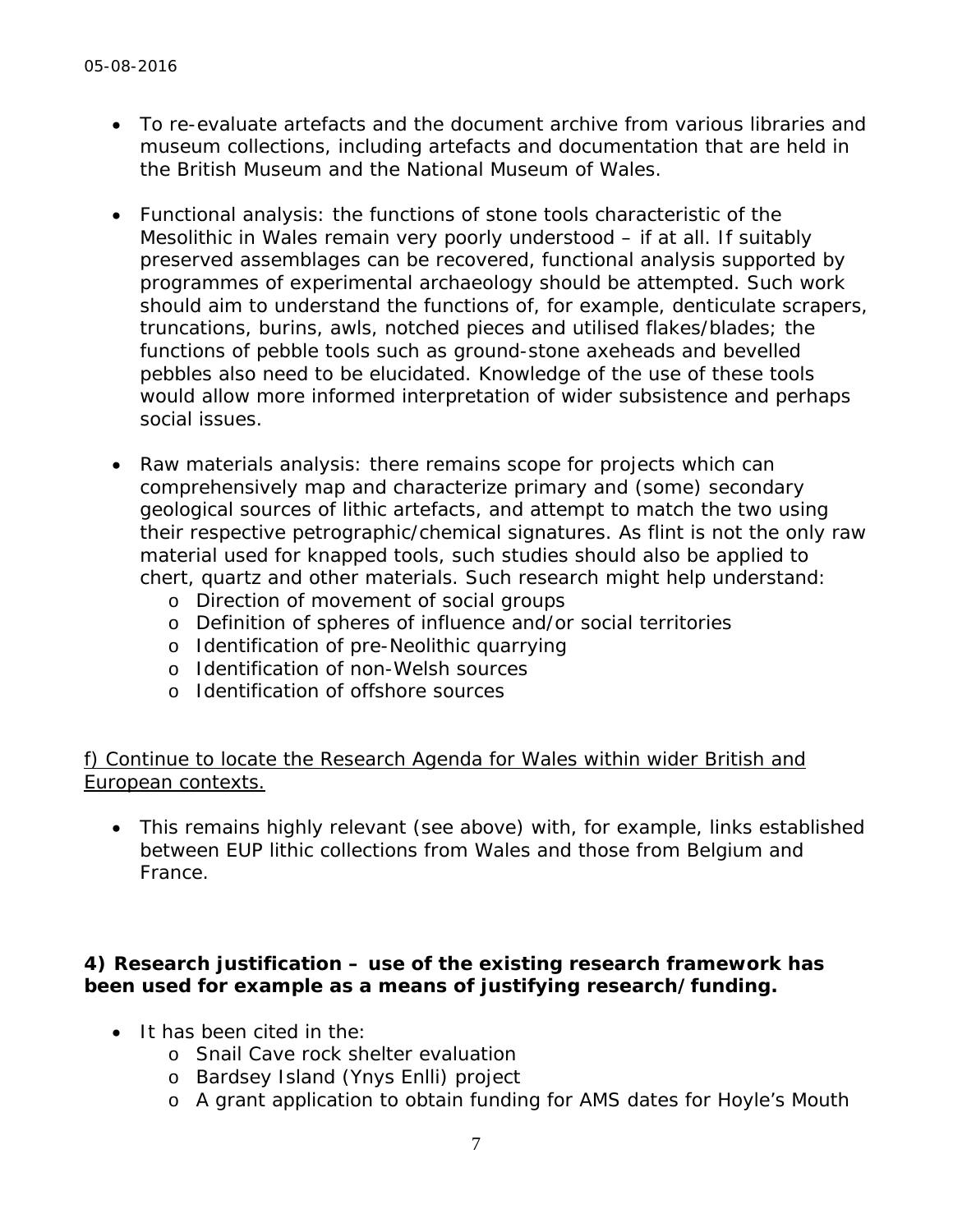- To re-evaluate artefacts and the document archive from various libraries and museum collections, including artefacts and documentation that are held in the British Museum and the National Museum of Wales.
- *Functional analysis*: the functions of stone tools characteristic of the Mesolithic in Wales remain very poorly understood – if at all. If suitably preserved assemblages can be recovered, functional analysis supported by programmes of experimental archaeology should be attempted. Such work should aim to understand the functions of, for example, denticulate scrapers, truncations, burins, awls, notched pieces and utilised flakes/blades; the functions of pebble tools such as ground-stone axeheads and bevelled pebbles also need to be elucidated. Knowledge of the use of these tools would allow more informed interpretation of wider subsistence and perhaps social issues.
- *Raw materials analysis*: there remains scope for projects which can comprehensively map and characterize primary and (some) secondary geological sources of lithic artefacts, and attempt to match the two using their respective petrographic/chemical signatures. As flint is not the only raw material used for knapped tools, such studies should also be applied to chert, quartz and other materials. Such research might help understand:
	- o Direction of movement of social groups
	- o Definition of spheres of influence and/or social territories
	- o Identification of pre-Neolithic quarrying
	- o Identification of non-Welsh sources
	- o Identification of offshore sources

### f) Continue to locate the Research Agenda for Wales within wider British and European contexts.

 This remains highly relevant (see above) with, for example, links established between EUP lithic collections from Wales and those from Belgium and France.

### **4) Research justification – use of the existing research framework has been used for example as a means of justifying research/funding.**

- It has been cited in the:
	- o Snail Cave rock shelter evaluation
	- o Bardsey Island (Ynys Enlli) project
	- o A grant application to obtain funding for AMS dates for Hoyle's Mouth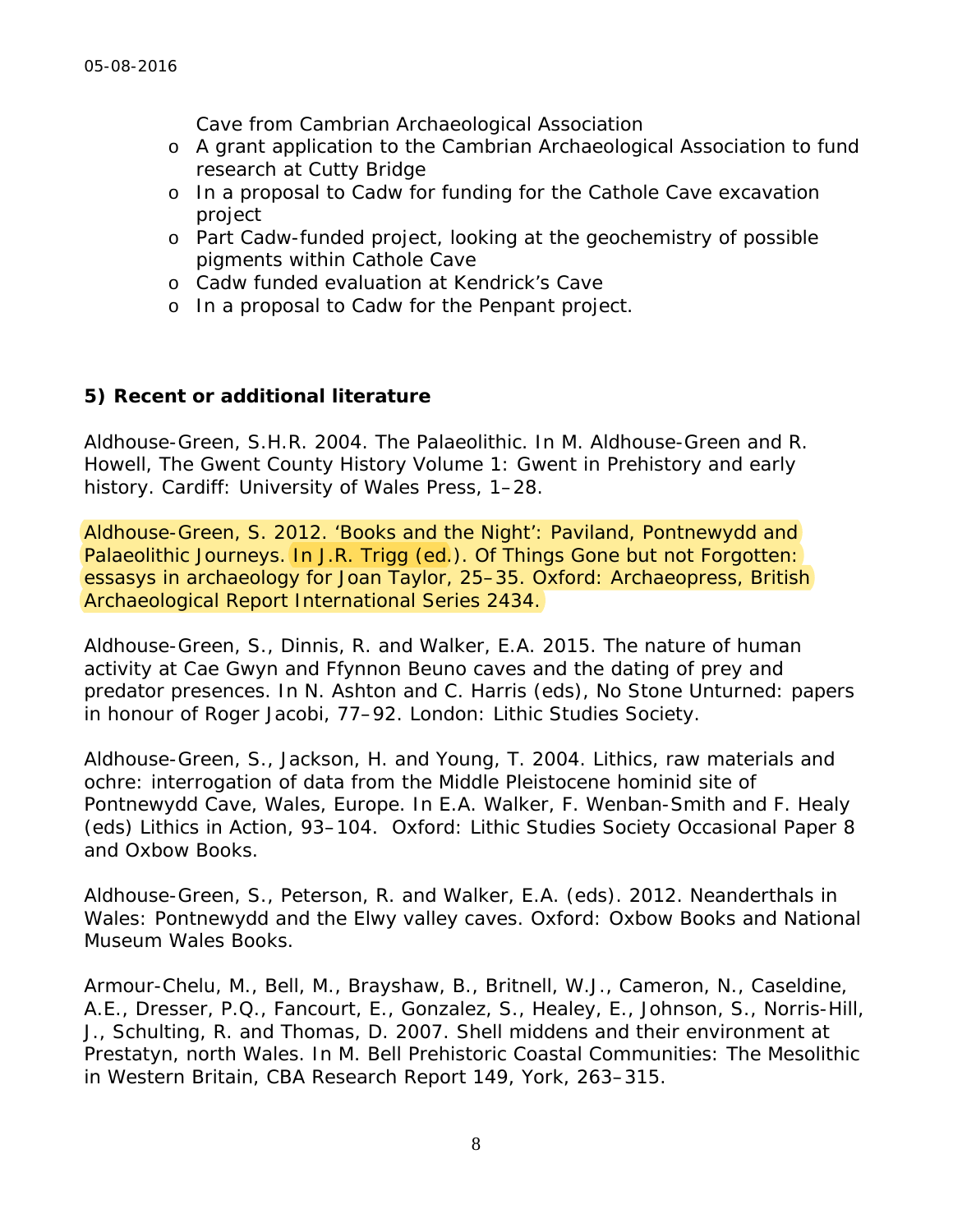Cave from Cambrian Archaeological Association

- o A grant application to the Cambrian Archaeological Association to fund research at Cutty Bridge
- o In a proposal to Cadw for funding for the Cathole Cave excavation project
- o Part Cadw-funded project, looking at the geochemistry of possible pigments within Cathole Cave
- o Cadw funded evaluation at Kendrick's Cave
- o In a proposal to Cadw for the Penpant project.

#### **5) Recent or additional literature**

Aldhouse-Green, S.H.R. 2004. The Palaeolithic. In M. Aldhouse-Green and R. Howell, *The Gwent County History Volume 1: Gwent in Prehistory and early history*. Cardiff: University of Wales Press, 1–28.

Aldhouse-Green, S. 2012. 'Books and the Night': Paviland, Pontnewydd and Palaeolithic Journeys. In J.R. Trigg (ed.). *Of Things Gone but not Forgotten: essasys in archaeology for Joan Taylor*, 25–35. Oxford: Archaeopress, British Archaeological Report International Series 2434.

Aldhouse-Green, S., Dinnis, R. and Walker, E.A. 2015. The nature of human activity at Cae Gwyn and Ffynnon Beuno caves and the dating of prey and predator presences. In N. Ashton and C. Harris (eds), *No Stone Unturned: papers in honour of Roger Jacobi*, 77–92. London: Lithic Studies Society.

Aldhouse-Green, S., Jackson, H. and Young, T. 2004. Lithics, raw materials and ochre: interrogation of data from the Middle Pleistocene hominid site of Pontnewydd Cave, Wales, Europe. In E.A. Walker, F. Wenban-Smith and F. Healy (eds) *Lithics in Action*, 93–104. Oxford: Lithic Studies Society Occasional Paper 8 and Oxbow Books.

Aldhouse-Green, S., Peterson, R. and Walker, E.A. (eds). 2012. *Neanderthals in Wales: Pontnewydd and the Elwy valley caves*. Oxford: Oxbow Books and National Museum Wales Books.

Armour-Chelu, M., Bell, M., Brayshaw, B., Britnell, W.J., Cameron, N., Caseldine, A.E., Dresser, P.Q., Fancourt, E., Gonzalez, S., Healey, E., Johnson, S., Norris-Hill, J., Schulting, R. and Thomas, D. 2007. Shell middens and their environment at Prestatyn, north Wales. In M. Bell *Prehistoric Coastal Communities: The Mesolithic in Western Britain,* CBA Research Report 149, York, 263–315.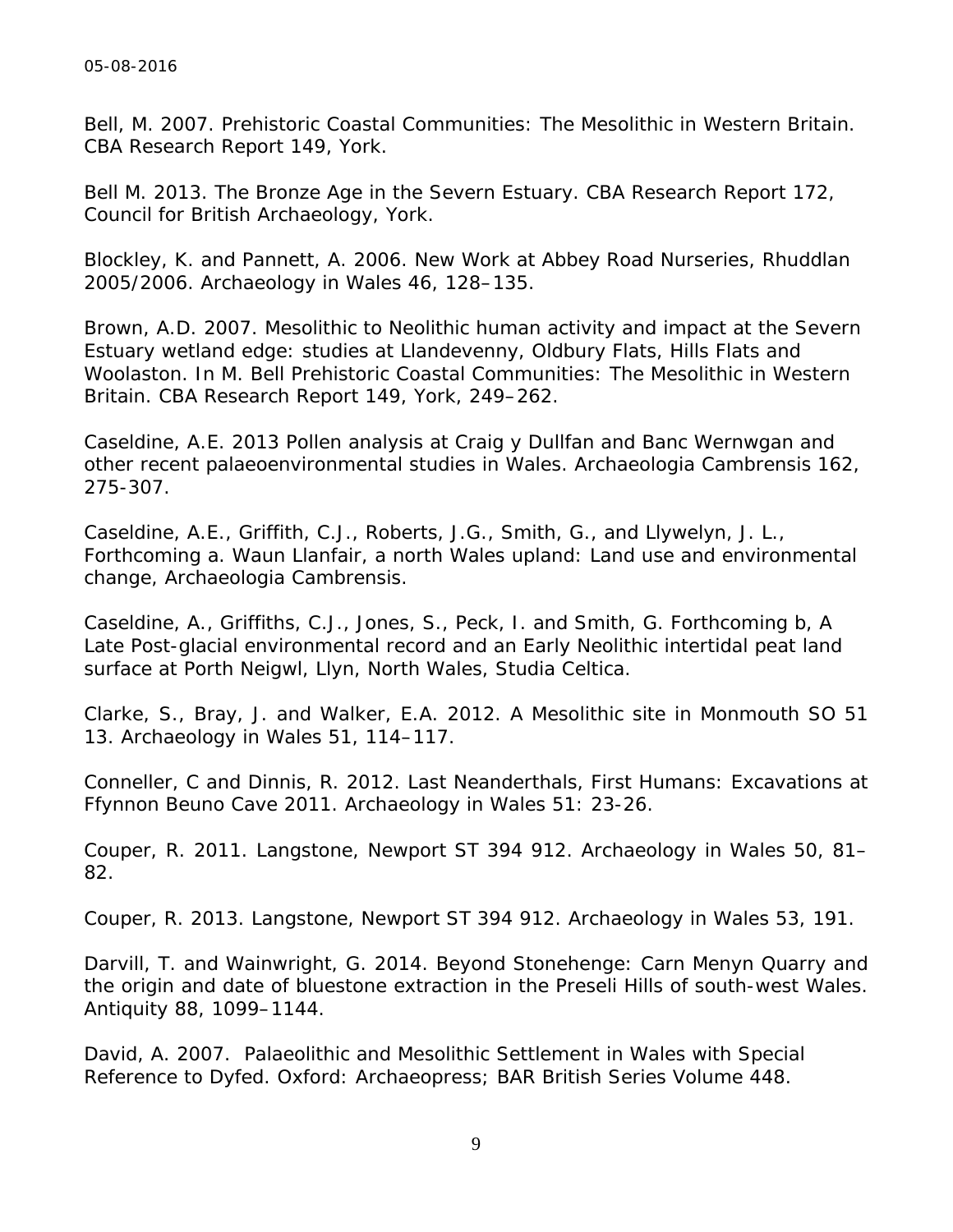Bell, M. 2007. *Prehistoric Coastal Communities: The Mesolithic in Western Britain.* CBA Research Report 149, York.

Bell M. 2013. *The Bronze Age in the Severn Estuary*. CBA Research Report 172, Council for British Archaeology, York.

Blockley, K. and Pannett, A. 2006. New Work at Abbey Road Nurseries, Rhuddlan 2005/2006. *Archaeology in Wales* 46, 128–135.

Brown, A.D. 2007. Mesolithic to Neolithic human activity and impact at the Severn Estuary wetland edge: studies at Llandevenny, Oldbury Flats, Hills Flats and Woolaston. In M. Bell *Prehistoric Coastal Communities: The Mesolithic in Western Britain.* CBA Research Report 149, York, 249–262.

Caseldine, A.E. 2013 Pollen analysis at Craig y Dullfan and Banc Wernwgan and other recent palaeoenvironmental studies in Wales. *Archaeologia Cambrensis* 162, 275-307.

Caseldine, A.E., Griffith, C.J., Roberts, J.G., Smith, G., and Llywelyn, J. L., Forthcoming a. Waun Llanfair, a north Wales upland: Land use and environmental change, *Archaeologia Cambrensis*.

Caseldine, A., Griffiths, C.J., Jones, S., Peck, I. and Smith, G. Forthcoming b, A Late Post-glacial environmental record and an Early Neolithic intertidal peat land surface at Porth Neigwl, Llyn, North Wales, *Studia Celtica.*

Clarke, S., Bray, J. and Walker, E.A. 2012. A Mesolithic site in Monmouth SO 51 13. *Archaeology in Wales* 51, 114–117.

Conneller, C and Dinnis, R. 2012. Last Neanderthals, First Humans: Excavations at Ffynnon Beuno Cave 2011. *Archaeology in Wales* 51: 23-26.

Couper, R. 2011. Langstone, Newport ST 394 912. *Archaeology in Wales* 50, 81– 82.

Couper, R. 2013. Langstone, Newport ST 394 912. *Archaeology in Wales* 53, 191.

Darvill, T. and Wainwright, G. 2014. Beyond Stonehenge: Carn Menyn Quarry and the origin and date of bluestone extraction in the Preseli Hills of south-west Wales. *Antiquity* 88, 1099–1144.

David, A. 2007. *Palaeolithic and Mesolithic Settlement in Wales with Special Reference to Dyfed*. Oxford: Archaeopress; BAR British Series Volume 448.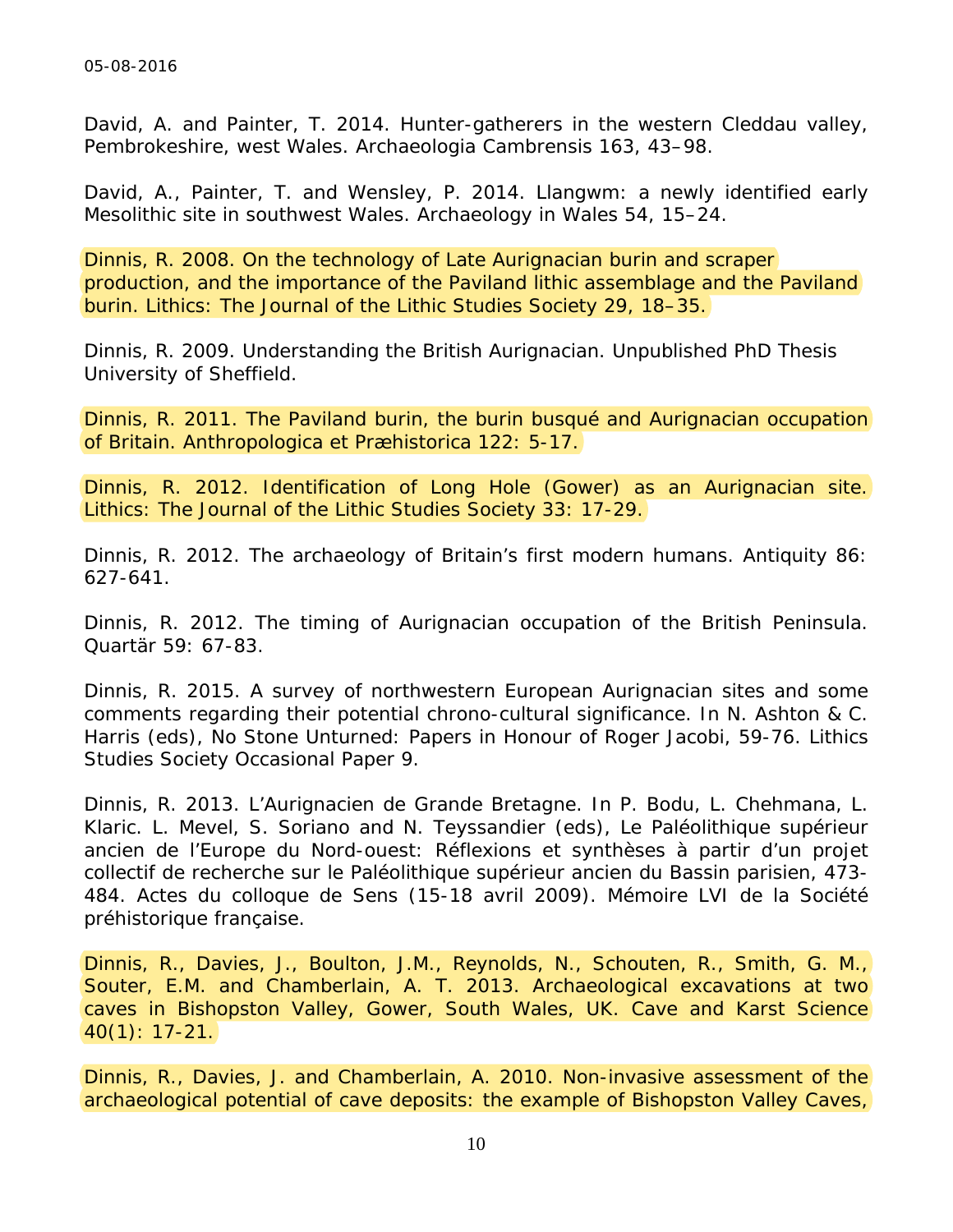David, A. and Painter, T. 2014. Hunter-gatherers in the western Cleddau valley, Pembrokeshire, west Wales. *Archaeologia Cambrensis* 163, 43–98.

David, A., Painter, T. and Wensley, P. 2014. Llangwm: a newly identified early Mesolithic site in southwest Wales. *Archaeology in Wales* 54, 15–24.

Dinnis, R. 2008. On the technology of Late Aurignacian burin and scraper production, and the importance of the Paviland lithic assemblage and the Paviland burin. *Lithics: The Journal of the Lithic Studies Society* 29, 18–35.

Dinnis, R. 2009. *Understanding the British Aurignacian*. Unpublished PhD Thesis University of Sheffield.

Dinnis, R. 2011. The Paviland burin, the *burin busqué* and Aurignacian occupation of Britain. *Anthropologica et Præhistorica* 122: 5-17.

Dinnis, R. 2012. Identification of Long Hole (Gower) as an Aurignacian site. *Lithics: The Journal of the Lithic Studies Society* 33: 17-29.

Dinnis, R. 2012. The archaeology of Britain's first modern humans. *Antiquity* 86: 627-641.

Dinnis, R. 2012. The timing of Aurignacian occupation of the British Peninsula. *Quartär* 59: 67-83.

Dinnis, R. 2015. A survey of northwestern European Aurignacian sites and some comments regarding their potential chrono-cultural significance. In N. Ashton & C. Harris (eds), *No Stone Unturned: Papers in Honour of Roger Jacobi*, 59-76. Lithics Studies Society Occasional Paper 9.

Dinnis, R. 2013. L'Aurignacien de Grande Bretagne. In P. Bodu, L. Chehmana, L. Klaric. L. Mevel, S. Soriano and N. Teyssandier (eds), *Le Paléolithique supérieur ancien de l'Europe du Nord-ouest: Réflexions et synthèses à partir d'un projet collectif de recherche sur le Paléolithique supérieur ancien du Bassin parisien*, 473- 484. Actes du colloque de Sens (15-18 avril 2009). Mémoire LVI de la Société préhistorique française.

Dinnis, R., Davies, J., Boulton, J.M., Reynolds, N., Schouten, R., Smith, G. M., Souter, E.M. and Chamberlain, A. T. 2013. Archaeological excavations at two caves in Bishopston Valley, Gower, South Wales, UK. *Cave and Karst Science* 40(1): 17-21.

Dinnis, R., Davies, J. and Chamberlain, A. 2010. Non-invasive assessment of the archaeological potential of cave deposits: the example of Bishopston Valley Caves,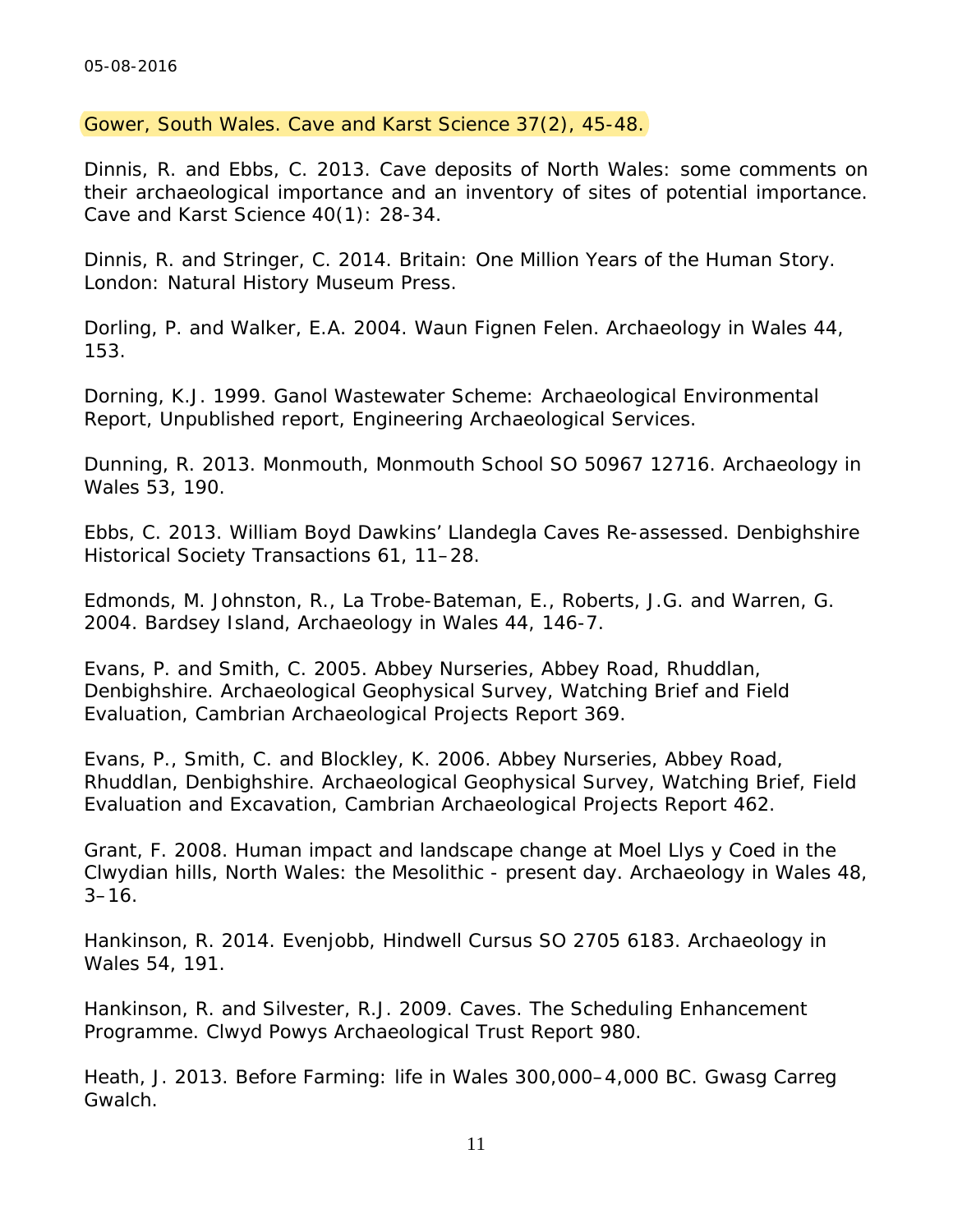Gower, South Wales. *Cave and Karst Science* 37(2), 45-48.

Dinnis, R. and Ebbs, C. 2013. Cave deposits of North Wales: some comments on their archaeological importance and an inventory of sites of potential importance. *Cave and Karst Science* 40(1): 28-34.

Dinnis, R. and Stringer, C. 2014. *Britain: One Million Years of the Human Story*. London: Natural History Museum Press.

Dorling, P. and Walker, E.A. 2004. Waun Fignen Felen. *Archaeology in Wales* 44, 153.

Dorning, K.J. 1999. *Ganol Wastewater Scheme: Archaeological Environmental Report*, Unpublished report, Engineering Archaeological Services.

Dunning, R. 2013. Monmouth, Monmouth School SO 50967 12716. *Archaeology in Wales* 53, 190.

Ebbs, C. 2013. William Boyd Dawkins' Llandegla Caves Re-assessed. Denbighshire Historical Society Transactions 61, 11–28.

Edmonds, M. Johnston, R., La Trobe-Bateman, E., Roberts, J.G. and Warren, G. 2004. Bardsey Island, *Archaeology in Wales* 44, 146-7.

Evans, P. and Smith, C. 2005. Abbey Nurseries, Abbey Road, Rhuddlan, Denbighshire. Archaeological Geophysical Survey, Watching Brief and Field Evaluation, Cambrian Archaeological Projects Report 369.

Evans, P., Smith, C. and Blockley, K. 2006. Abbey Nurseries, Abbey Road, Rhuddlan, Denbighshire. Archaeological Geophysical Survey, Watching Brief, Field Evaluation and Excavation, Cambrian Archaeological Projects Report 462.

Grant, F. 2008. Human impact and landscape change at Moel Llys y Coed in the Clwydian hills, North Wales: the Mesolithic - present day. *Archaeology in Wales* 48,  $3 - 16$ .

Hankinson, R. 2014. Evenjobb, Hindwell Cursus SO 2705 6183. *Archaeology in Wales* 54, 191.

Hankinson, R. and Silvester, R.J. 2009. Caves. The Scheduling Enhancement Programme. Clwyd Powys Archaeological Trust Report 980.

Heath, J. 2013. *Before Farming: life in Wales 300,000–4,000 BC*. Gwasg Carreg Gwalch.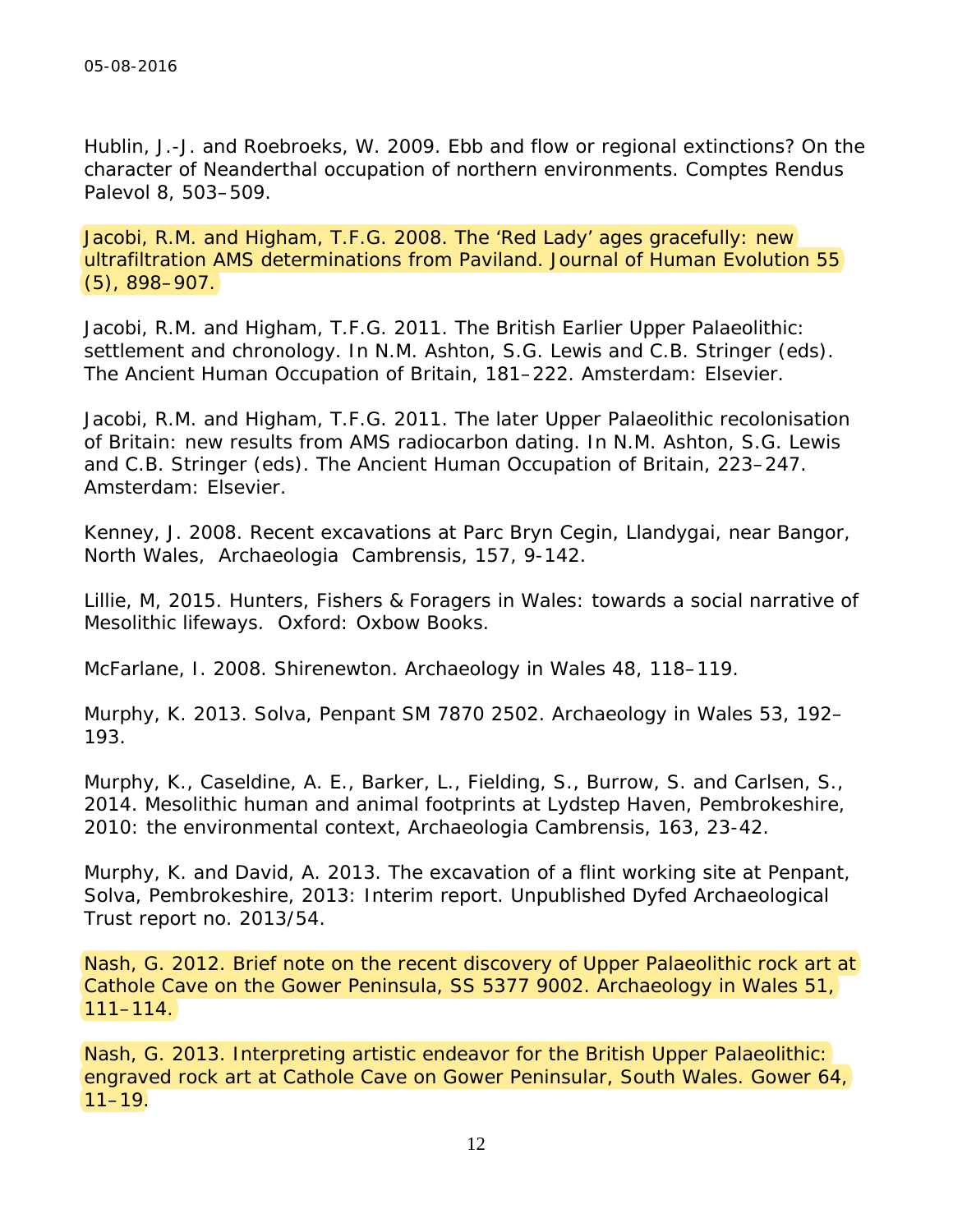Hublin, J.-J. and Roebroeks, W. 2009. Ebb and flow or regional extinctions? On the character of Neanderthal occupation of northern environments. *Comptes Rendus Palevol* 8, 503–509.

Jacobi, R.M. and Higham, T.F.G. 2008. The 'Red Lady' ages gracefully: new ultrafiltration AMS determinations from Paviland. *Journal of Human Evolution* 55 (5), 898–907.

Jacobi, R.M. and Higham, T.F.G. 2011. The British Earlier Upper Palaeolithic: settlement and chronology. In N.M. Ashton, S.G. Lewis and C.B. Stringer (eds). *The Ancient Human Occupation of Britain*, 181–222. Amsterdam: Elsevier.

Jacobi, R.M. and Higham, T.F.G. 2011. The later Upper Palaeolithic recolonisation of Britain: new results from AMS radiocarbon dating. In N.M. Ashton, S.G. Lewis and C.B. Stringer (eds). *The Ancient Human Occupation of Britain*, 223–247. Amsterdam: Elsevier.

Kenney, J. 2008. Recent excavations at Parc Bryn Cegin, Llandygai, near Bangor, North Wales, *Archaeologia Cambrensis*, 157, 9-142.

Lillie, M, 2015. *Hunters, Fishers & Foragers in Wales: towards a social narrative of Mesolithic lifeways*. Oxford: Oxbow Books.

McFarlane, I. 2008. Shirenewton. *Archaeology in Wales* 48, 118–119.

Murphy, K. 2013. Solva, Penpant SM 7870 2502. *Archaeology in Wales* 53, 192– 193.

Murphy, K., Caseldine, A. E., Barker, L., Fielding, S., Burrow, S. and Carlsen, S., 2014. Mesolithic human and animal footprints at Lydstep Haven, Pembrokeshire, 2010: the environmental context, *Archaeologia Cambrensis*, 163, 23-42.

Murphy, K. and David, A. 2013. The excavation of a flint working site at Penpant, Solva, Pembrokeshire, 2013: Interim report. Unpublished Dyfed Archaeological Trust report no. 2013/54.

Nash, G. 2012. Brief note on the recent discovery of Upper Palaeolithic rock art at Cathole Cave on the Gower Peninsula, SS 5377 9002. *Archaeology in Wales* 51, 111–114.

Nash, G. 2013. Interpreting artistic endeavor for the British Upper Palaeolithic: engraved rock art at Cathole Cave on Gower Peninsular, South Wales. *Gower* 64,  $11-19.$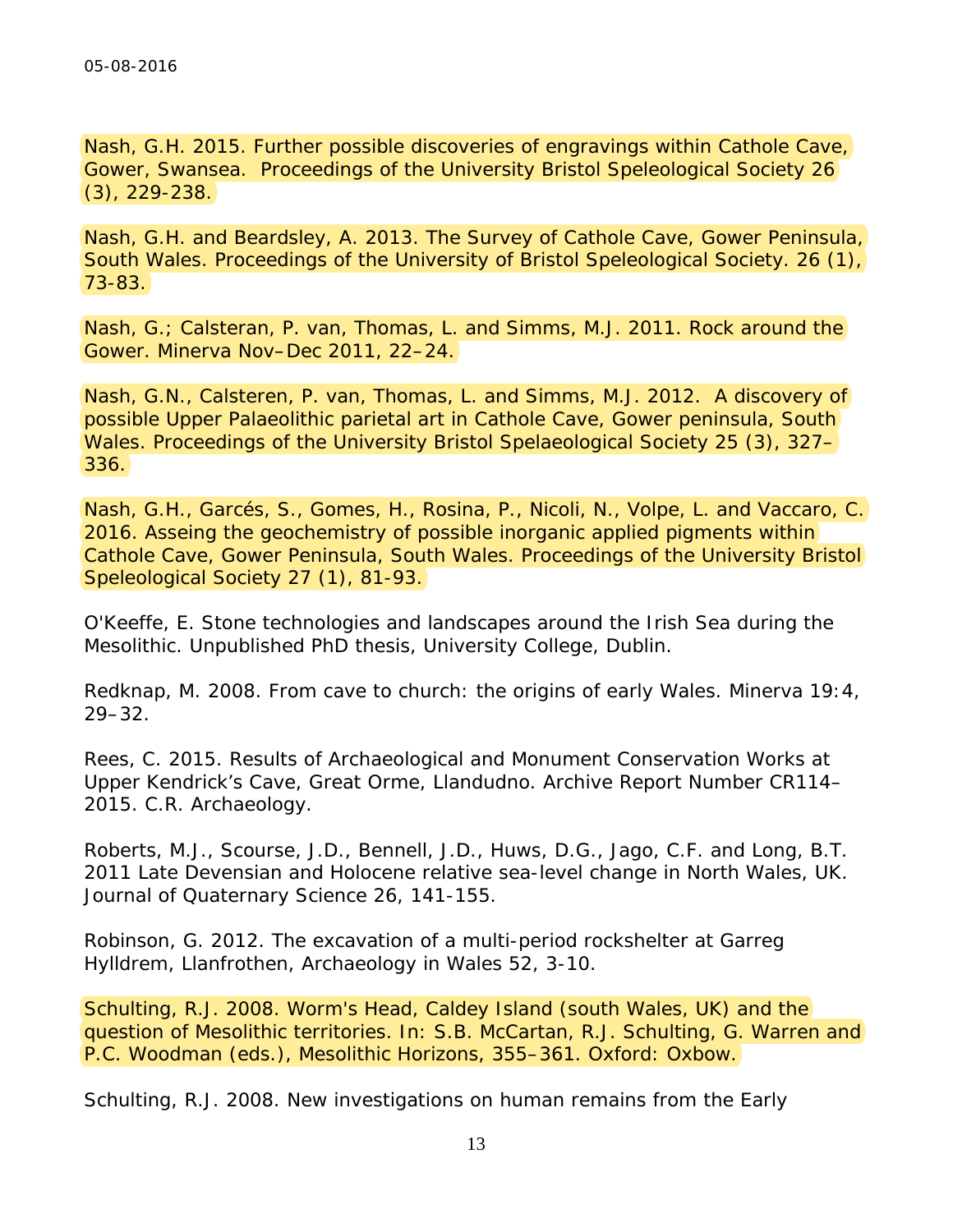Nash, G.H. 2015. Further possible discoveries of engravings within Cathole Cave, Gower, Swansea. *Proceedings of the University Bristol Speleological Soc*iety 26 (3), 229-238.

Nash, G.H. and Beardsley, A. 2013. The Survey of Cathole Cave, Gower Peninsula, South Wales. *Proceedings of the University of Bristol Speleological Society*. 26 (1), 73-83.

Nash, G.; Calsteran, P. van, Thomas, L. and Simms, M.J. 2011. Rock around the Gower. *Minerva* Nov–Dec 2011, 22–24.

Nash, G.N., Calsteren, P. van, Thomas, L. and Simms, M.J. 2012. A discovery of possible Upper Palaeolithic parietal art in Cathole Cave, Gower peninsula, South Wales. *Proceedings of the University Bristol Spelaeological Society 25 (3)*, 327– 336.

Nash, G.H., Garcés, S., Gomes, H., Rosina, P., Nicoli, N., Volpe, L. and Vaccaro, C. 2016. Asseing the geochemistry of possible inorganic applied pigments within Cathole Cave, Gower Peninsula, South Wales. *Proceedings of the University Bristol Speleological Soc*iety 27 (1), 81-93.

O'Keeffe, E. *Stone technologies and landscapes around the Irish Sea during the Mesolithic*. Unpublished PhD thesis, University College, Dublin.

Redknap, M. 2008. From cave to church: the origins of early Wales. *Minerva* 19:4, 29–32.

Rees, C. 2015. *Results of Archaeological and Monument Conservation Works at Upper Kendrick's Cave, Great Orme, Llandudno*. Archive Report Number CR114– 2015. C.R. Archaeology.

Roberts, M.J., Scourse, J.D., Bennell, J.D., Huws, D.G., Jago, C.F. and Long, B.T. 2011 Late Devensian and Holocene relative sea-level change in North Wales, UK. *Journal of Quaternary Science* 26, 141-155.

Robinson, G. 2012. The excavation of a multi-period rockshelter at Garreg Hylldrem, Llanfrothen, *Archaeology in Wales* 52, 3-10.

Schulting, R.J. 2008. Worm's Head, Caldey Island (south Wales, UK) and the question of Mesolithic territories. In: S.B. McCartan, R.J. Schulting, G. Warren and P.C. Woodman (eds.), *Mesolithic Horizons,* 355–361. Oxford: Oxbow.

Schulting, R.J. 2008. New investigations on human remains from the Early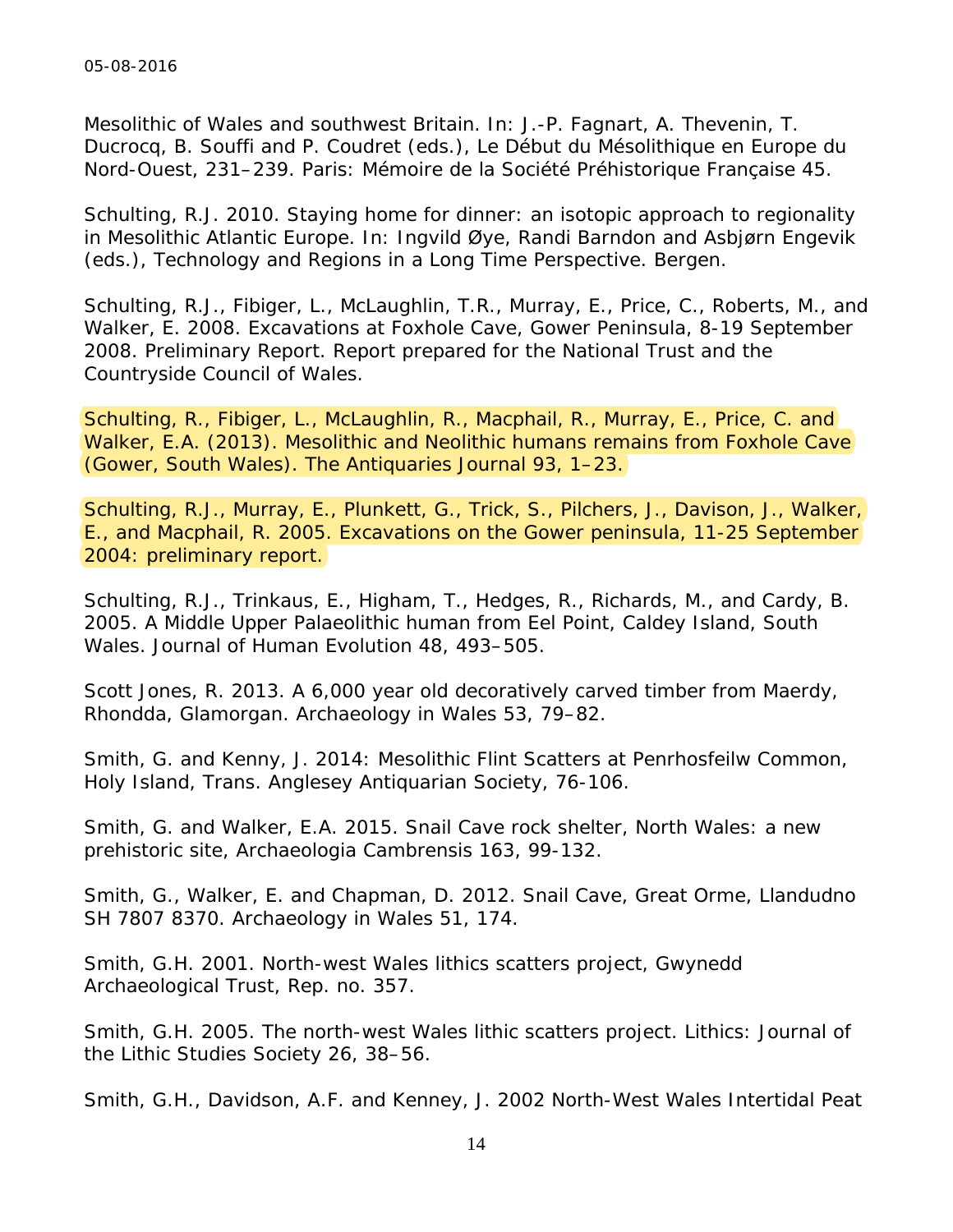Mesolithic of Wales and southwest Britain. In: J.-P. Fagnart, A. Thevenin, T. Ducrocq, B. Souffi and P. Coudret (eds.), *Le Début du Mésolithique en Europe du Nord-Ouest*, 231–239. Paris: Mémoire de la Société Préhistorique Française 45.

Schulting, R.J. 2010. Staying home for dinner: an isotopic approach to regionality in Mesolithic Atlantic Europe. In: Ingvild Øye, Randi Barndon and Asbjørn Engevik (eds.), *Technology and Regions in a Long Time Perspective*. Bergen.

Schulting, R.J., Fibiger, L., McLaughlin, T.R., Murray, E., Price, C., Roberts, M., and Walker, E. 2008. Excavations at Foxhole Cave, Gower Peninsula, 8-19 September 2008. Preliminary Report. Report prepared for the National Trust and the Countryside Council of Wales.

Schulting, R., Fibiger, L., McLaughlin, R., Macphail, R., Murray, E., Price, C. and Walker, E.A. (2013). Mesolithic and Neolithic humans remains from Foxhole Cave (Gower, South Wales). *The Antiquaries Journal* 93, 1–23.

Schulting, R.J., Murray, E., Plunkett, G., Trick, S., Pilchers, J., Davison, J., Walker, E., and Macphail, R. 2005. Excavations on the Gower peninsula, 11-25 September 2004: preliminary report.

Schulting, R.J., Trinkaus, E., Higham, T., Hedges, R., Richards, M., and Cardy, B. 2005. A Middle Upper Palaeolithic human from Eel Point, Caldey Island, South Wales. *Journal of Human Evolution* 48, 493–505.

Scott Jones, R. 2013. A 6,000 year old decoratively carved timber from Maerdy, Rhondda, Glamorgan. *Archaeology in Wales* 53, 79–82.

Smith, G. and Kenny, J. 2014: Mesolithic Flint Scatters at Penrhosfeilw Common, Holy Island, *Trans. Anglesey Antiquarian Society*, 76-106.

Smith, G. and Walker, E.A. 2015. Snail Cave rock shelter, North Wales: a new prehistoric site, *Archaeologia Cambrensis* 163, 99-132.

Smith, G., Walker, E. and Chapman, D. 2012. Snail Cave, Great Orme, Llandudno SH 7807 8370. *Archaeology in Wales* 51, 174.

Smith, G.H. 2001. *North-west Wales lithics scatters project*, Gwynedd Archaeological Trust, Rep. no. 357.

Smith, G.H. 2005. The north-west Wales lithic scatters project. *Lithics: Journal of the Lithic Studies Society* 26, 38–56.

Smith, G.H., Davidson, A.F. and Kenney, J. 2002 *North-West Wales Intertidal Peat*